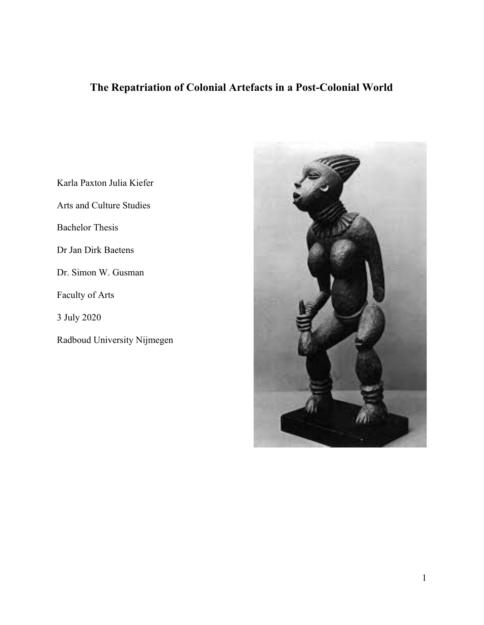## **The Repatriation of Colonial Artefacts in a Post-Colonial World**

Karla Paxton Julia Kiefer

Arts and Culture Studies

Bachelor Thesis

Dr Jan Dirk Baetens

Dr. Simon W. Gusman

Faculty of Arts

3 July 2020

Radboud University Nijmegen

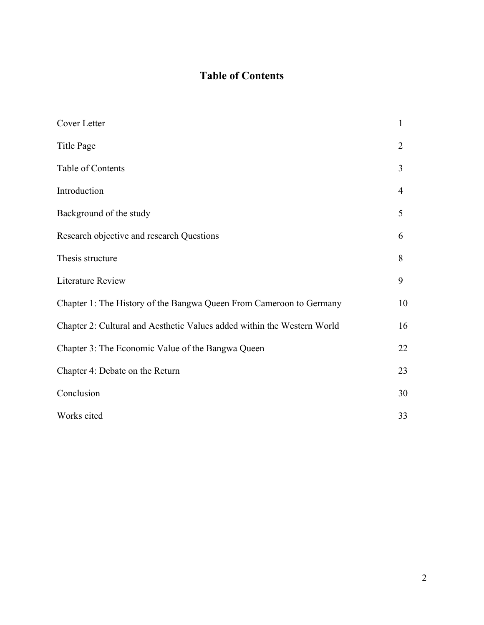### **Table of Contents**

| Cover Letter                                                            | 1              |
|-------------------------------------------------------------------------|----------------|
| Title Page                                                              | $\overline{2}$ |
| Table of Contents                                                       | 3              |
| Introduction                                                            | $\overline{4}$ |
| Background of the study                                                 | 5              |
| Research objective and research Questions                               | 6              |
| Thesis structure                                                        | 8              |
| <b>Literature Review</b>                                                | 9              |
| Chapter 1: The History of the Bangwa Queen From Cameroon to Germany     | 10             |
| Chapter 2: Cultural and Aesthetic Values added within the Western World | 16             |
| Chapter 3: The Economic Value of the Bangwa Queen                       | 22             |
| Chapter 4: Debate on the Return                                         | 23             |
| Conclusion                                                              | 30             |
| Works cited                                                             | 33             |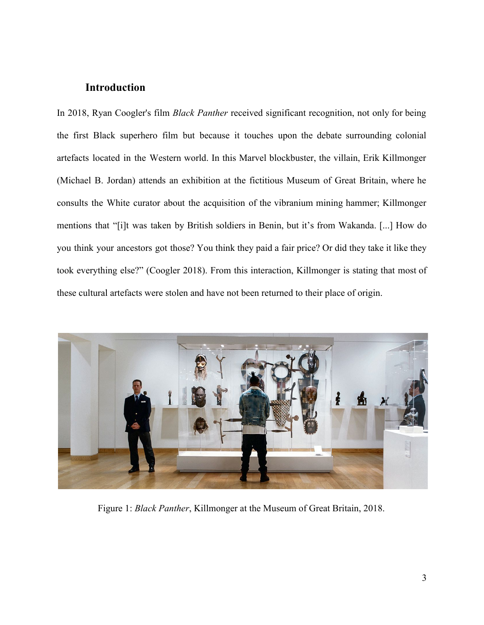### **Introduction**

In 2018, Ryan Coogler's film *Black Panther* received significant recognition, not only for being the first Black superhero film but because it touches upon the debate surrounding colonial artefacts located in the Western world. In this Marvel blockbuster, the villain, Erik Killmonger (Michael B. Jordan) attends an exhibition at the fictitious Museum of Great Britain, where he consults the White curator about the acquisition of the vibranium mining hammer; Killmonger mentions that "[i]t was taken by British soldiers in Benin, but it's from Wakanda. [...] How do you think your ancestors got those? You think they paid a fair price? Or did they take it like they took everything else?" (Coogler 2018). From this interaction, Killmonger is stating that most of these cultural artefacts were stolen and have not been returned to their place of origin.



Figure 1: *Black Panther*, Killmonger at the Museum of Great Britain, 2018.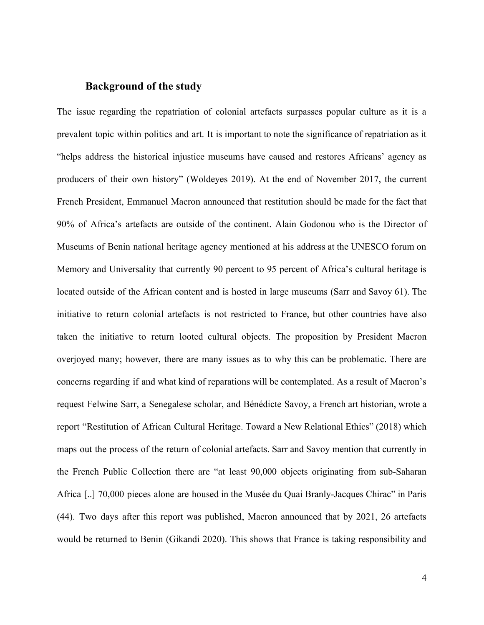### **Background of the study**

The issue regarding the repatriation of colonial artefacts surpasses popular culture as it is a prevalent topic within politics and art. It is important to note the significance of repatriation as it "helps address the historical injustice museums have caused and restores Africans' agency as producers of their own history" (Woldeyes 2019). At the end of November 2017, the current French President, Emmanuel Macron announced that restitution should be made for the fact that 90% of Africa's artefacts are outside of the continent. Alain Godonou who is the Director of Museums of Benin national heritage agency mentioned at his address at the UNESCO forum on Memory and Universality that currently 90 percent to 95 percent of Africa's cultural heritage is located outside of the African content and is hosted in large museums (Sarr and Savoy 61). The initiative to return colonial artefacts is not restricted to France, but other countries have also taken the initiative to return looted cultural objects. The proposition by President Macron overjoyed many; however, there are many issues as to why this can be problematic. There are concerns regarding if and what kind of reparations will be contemplated. As a result of Macron's request Felwine Sarr, a Senegalese scholar, and Bénédicte Savoy, a French art historian, wrote a report "Restitution of African Cultural Heritage. Toward a New Relational Ethics" (2018) which maps out the process of the return of colonial artefacts. Sarr and Savoy mention that currently in the French Public Collection there are "at least 90,000 objects originating from sub-Saharan Africa [..] 70,000 pieces alone are housed in the Musée du Quai Branly-Jacques Chirac" in Paris (44). Two days after this report was published, Macron announced that by 2021, 26 artefacts would be returned to Benin (Gikandi 2020). This shows that France is taking responsibility and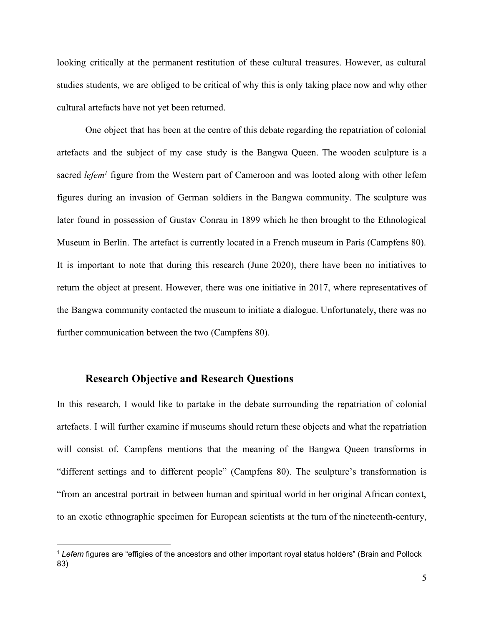looking critically at the permanent restitution of these cultural treasures. However, as cultural studies students, we are obliged to be critical of why this is only taking place now and why other cultural artefacts have not yet been returned.

One object that has been at the centre of this debate regarding the repatriation of colonial artefacts and the subject of my case study is the Bangwa Queen. The wooden sculpture is a sacred *lefem<sup>1</sup>* figure from the Western part of Cameroon and was looted along with other lefem figures during an invasion of German soldiers in the Bangwa community. The sculpture was later found in possession of Gustav Conrau in 1899 which he then brought to the Ethnological Museum in Berlin. The artefact is currently located in a French museum in Paris (Campfens 80). It is important to note that during this research (June 2020), there have been no initiatives to return the object at present. However, there was one initiative in 2017, where representatives of the Bangwa community contacted the museum to initiate a dialogue. Unfortunately, there was no further communication between the two (Campfens 80).

### **Research Objective and Research Questions**

In this research, I would like to partake in the debate surrounding the repatriation of colonial artefacts. I will further examine if museums should return these objects and what the repatriation will consist of. Campfens mentions that the meaning of the Bangwa Queen transforms in "different settings and to different people" (Campfens 80). The sculpture's transformation is "from an ancestral portrait in between human and spiritual world in her original African context, to an exotic ethnographic specimen for European scientists at the turn of the nineteenth-century,

<sup>1</sup> *Lefem* figures are "effigies of the ancestors and other important royal status holders" (Brain and Pollock 83)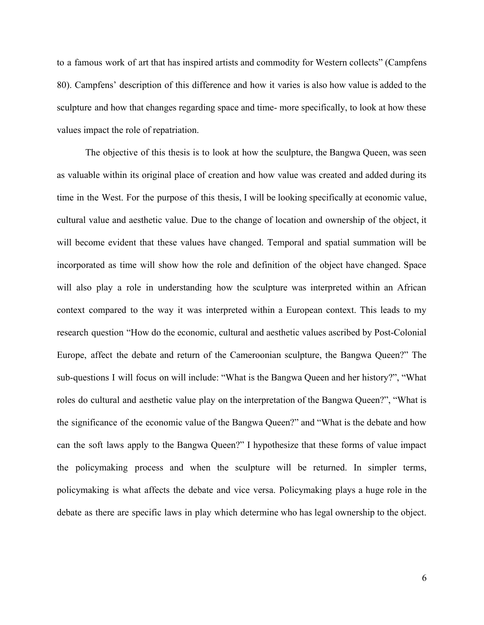to a famous work of art that has inspired artists and commodity for Western collects" (Campfens 80). Campfens' description of this difference and how it varies is also how value is added to the sculpture and how that changes regarding space and time- more specifically, to look at how these values impact the role of repatriation.

The objective of this thesis is to look at how the sculpture, the Bangwa Queen, was seen as valuable within its original place of creation and how value was created and added during its time in the West. For the purpose of this thesis, I will be looking specifically at economic value, cultural value and aesthetic value. Due to the change of location and ownership of the object, it will become evident that these values have changed. Temporal and spatial summation will be incorporated as time will show how the role and definition of the object have changed. Space will also play a role in understanding how the sculpture was interpreted within an African context compared to the way it was interpreted within a European context. This leads to my research question "How do the economic, cultural and aesthetic values ascribed by Post-Colonial Europe, affect the debate and return of the Cameroonian sculpture, the Bangwa Queen?" The sub-questions I will focus on will include: "What is the Bangwa Queen and her history?", "What roles do cultural and aesthetic value play on the interpretation of the Bangwa Queen?", "What is the significance of the economic value of the Bangwa Queen?" and "What is the debate and how can the soft laws apply to the Bangwa Queen?" I hypothesize that these forms of value impact the policymaking process and when the sculpture will be returned. In simpler terms, policymaking is what affects the debate and vice versa. Policymaking plays a huge role in the debate as there are specific laws in play which determine who has legal ownership to the object.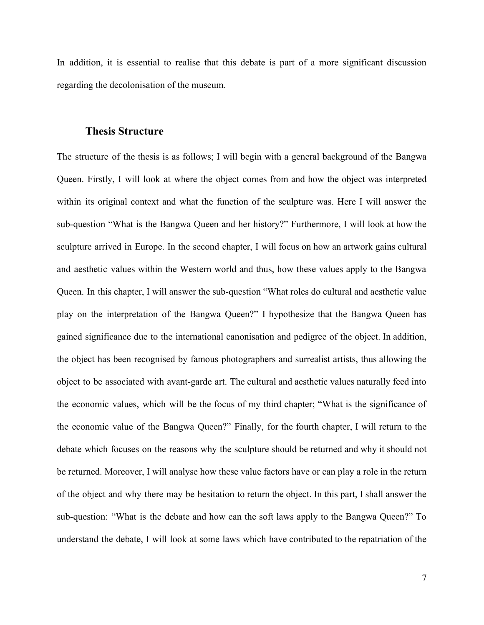In addition, it is essential to realise that this debate is part of a more significant discussion regarding the decolonisation of the museum.

### **Thesis Structure**

The structure of the thesis is as follows; I will begin with a general background of the Bangwa Queen. Firstly, I will look at where the object comes from and how the object was interpreted within its original context and what the function of the sculpture was. Here I will answer the sub-question "What is the Bangwa Queen and her history?" Furthermore, I will look at how the sculpture arrived in Europe. In the second chapter, I will focus on how an artwork gains cultural and aesthetic values within the Western world and thus, how these values apply to the Bangwa Queen. In this chapter, I will answer the sub-question "What roles do cultural and aesthetic value play on the interpretation of the Bangwa Queen?" I hypothesize that the Bangwa Queen has gained significance due to the international canonisation and pedigree of the object. In addition, the object has been recognised by famous photographers and surrealist artists, thus allowing the object to be associated with avant-garde art. The cultural and aesthetic values naturally feed into the economic values, which will be the focus of my third chapter; "What is the significance of the economic value of the Bangwa Queen?" Finally, for the fourth chapter, I will return to the debate which focuses on the reasons why the sculpture should be returned and why it should not be returned. Moreover, I will analyse how these value factors have or can play a role in the return of the object and why there may be hesitation to return the object. In this part, I shall answer the sub-question: "What is the debate and how can the soft laws apply to the Bangwa Queen?" To understand the debate, I will look at some laws which have contributed to the repatriation of the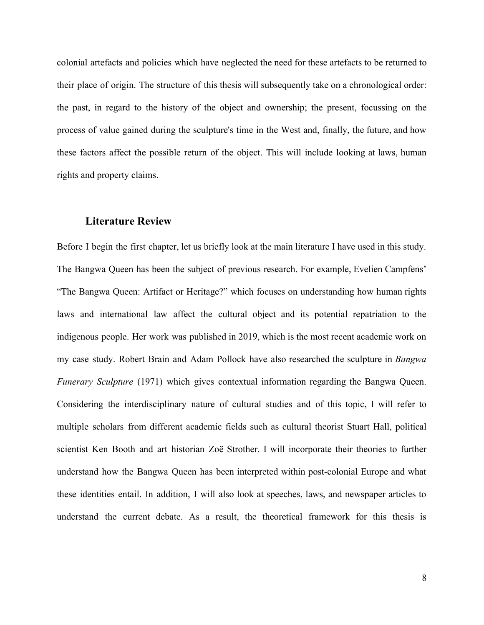colonial artefacts and policies which have neglected the need for these artefacts to be returned to their place of origin. The structure of this thesis will subsequently take on a chronological order: the past, in regard to the history of the object and ownership; the present, focussing on the process of value gained during the sculpture's time in the West and, finally, the future, and how these factors affect the possible return of the object. This will include looking at laws, human rights and property claims.

### **Literature Review**

Before I begin the first chapter, let us briefly look at the main literature I have used in this study. The Bangwa Queen has been the subject of previous research. For example, Evelien Campfens' "The Bangwa Queen: Artifact or Heritage?" which focuses on understanding how human rights laws and international law affect the cultural object and its potential repatriation to the indigenous people. Her work was published in 2019, which is the most recent academic work on my case study. Robert Brain and Adam Pollock have also researched the sculpture in *Bangwa Funerary Sculpture* (1971) which gives contextual information regarding the Bangwa Queen. Considering the interdisciplinary nature of cultural studies and of this topic, I will refer to multiple scholars from different academic fields such as cultural theorist Stuart Hall, political scientist Ken Booth and art historian Zoë Strother. I will incorporate their theories to further understand how the Bangwa Queen has been interpreted within post-colonial Europe and what these identities entail. In addition, I will also look at speeches, laws, and newspaper articles to understand the current debate. As a result, the theoretical framework for this thesis is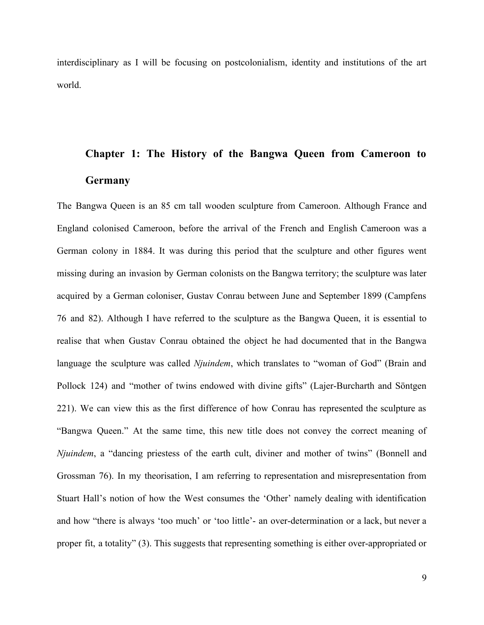interdisciplinary as I will be focusing on postcolonialism, identity and institutions of the art world.

# **Chapter 1: The History of the Bangwa Queen from Cameroon to Germany**

The Bangwa Queen is an 85 cm tall wooden sculpture from Cameroon. Although France and England colonised Cameroon, before the arrival of the French and English Cameroon was a German colony in 1884. It was during this period that the sculpture and other figures went missing during an invasion by German colonists on the Bangwa territory; the sculpture was later acquired by a German coloniser, Gustav Conrau between June and September 1899 (Campfens 76 and 82). Although I have referred to the sculpture as the Bangwa Queen, it is essential to realise that when Gustav Conrau obtained the object he had documented that in the Bangwa language the sculpture was called *Njuindem*, which translates to "woman of God" (Brain and Pollock 124) and "mother of twins endowed with divine gifts" (Lajer-Burcharth and Söntgen 221). We can view this as the first difference of how Conrau has represented the sculpture as "Bangwa Queen." At the same time, this new title does not convey the correct meaning of *Njuindem*, a "dancing priestess of the earth cult, diviner and mother of twins" (Bonnell and Grossman 76). In my theorisation, I am referring to representation and misrepresentation from Stuart Hall's notion of how the West consumes the 'Other' namely dealing with identification and how "there is always 'too much' or 'too little'- an over-determination or a lack, but never a proper fit, a totality" (3). This suggests that representing something is either over-appropriated or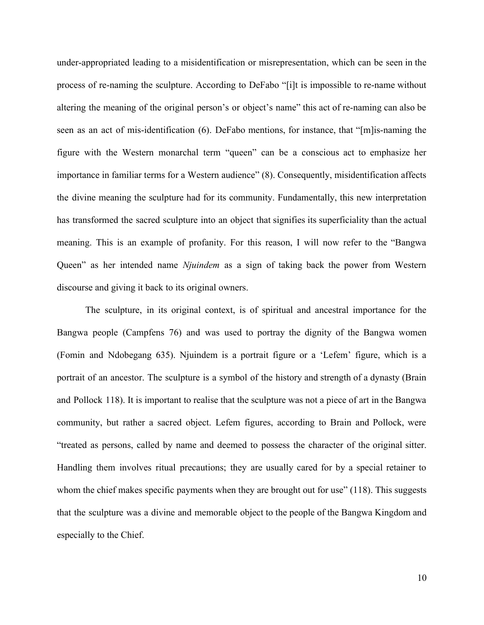under-appropriated leading to a misidentification or misrepresentation, which can be seen in the process of re-naming the sculpture. According to DeFabo "[i]t is impossible to re-name without altering the meaning of the original person's or object's name" this act of re-naming can also be seen as an act of mis-identification (6). DeFabo mentions, for instance, that "[m]is-naming the figure with the Western monarchal term "queen" can be a conscious act to emphasize her importance in familiar terms for a Western audience" (8). Consequently, misidentification affects the divine meaning the sculpture had for its community. Fundamentally, this new interpretation has transformed the sacred sculpture into an object that signifies its superficiality than the actual meaning. This is an example of profanity. For this reason, I will now refer to the "Bangwa Queen" as her intended name *Njuindem* as a sign of taking back the power from Western discourse and giving it back to its original owners.

The sculpture, in its original context, is of spiritual and ancestral importance for the Bangwa people (Campfens 76) and was used to portray the dignity of the Bangwa women (Fomin and Ndobegang 635). Njuindem is a portrait figure or a 'Lefem' figure, which is a portrait of an ancestor. The sculpture is a symbol of the history and strength of a dynasty (Brain and Pollock 118). It is important to realise that the sculpture was not a piece of art in the Bangwa community, but rather a sacred object. Lefem figures, according to Brain and Pollock, were "treated as persons, called by name and deemed to possess the character of the original sitter. Handling them involves ritual precautions; they are usually cared for by a special retainer to whom the chief makes specific payments when they are brought out for use" (118). This suggests that the sculpture was a divine and memorable object to the people of the Bangwa Kingdom and especially to the Chief.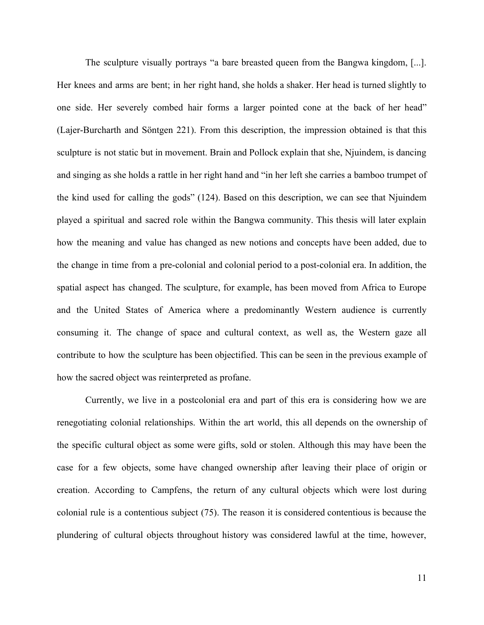The sculpture visually portrays "a bare breasted queen from the Bangwa kingdom, [...]. Her knees and arms are bent; in her right hand, she holds a shaker. Her head is turned slightly to one side. Her severely combed hair forms a larger pointed cone at the back of her head" (Lajer-Burcharth and Söntgen 221). From this description, the impression obtained is that this sculpture is not static but in movement. Brain and Pollock explain that she, Njuindem, is dancing and singing as she holds a rattle in her right hand and "in her left she carries a bamboo trumpet of the kind used for calling the gods" (124). Based on this description, we can see that Njuindem played a spiritual and sacred role within the Bangwa community. This thesis will later explain how the meaning and value has changed as new notions and concepts have been added, due to the change in time from a pre-colonial and colonial period to a post-colonial era. In addition, the spatial aspect has changed. The sculpture, for example, has been moved from Africa to Europe and the United States of America where a predominantly Western audience is currently consuming it. The change of space and cultural context, as well as, the Western gaze all contribute to how the sculpture has been objectified. This can be seen in the previous example of how the sacred object was reinterpreted as profane.

Currently, we live in a postcolonial era and part of this era is considering how we are renegotiating colonial relationships. Within the art world, this all depends on the ownership of the specific cultural object as some were gifts, sold or stolen. Although this may have been the case for a few objects, some have changed ownership after leaving their place of origin or creation. According to Campfens, the return of any cultural objects which were lost during colonial rule is a contentious subject (75). The reason it is considered contentious is because the plundering of cultural objects throughout history was considered lawful at the time, however,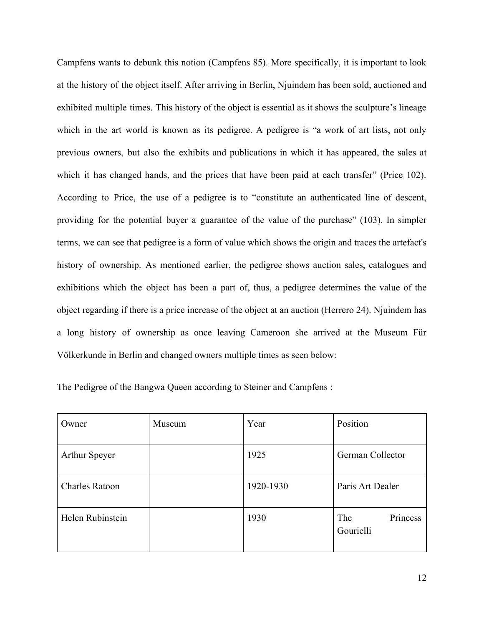Campfens wants to debunk this notion (Campfens 85). More specifically, it is important to look at the history of the object itself. After arriving in Berlin, Njuindem has been sold, auctioned and exhibited multiple times. This history of the object is essential as it shows the sculpture's lineage which in the art world is known as its pedigree. A pedigree is "a work of art lists, not only previous owners, but also the exhibits and publications in which it has appeared, the sales at which it has changed hands, and the prices that have been paid at each transfer" (Price 102). According to Price, the use of a pedigree is to "constitute an authenticated line of descent, providing for the potential buyer a guarantee of the value of the purchase" (103). In simpler terms, we can see that pedigree is a form of value which shows the origin and traces the artefact's history of ownership. As mentioned earlier, the pedigree shows auction sales, catalogues and exhibitions which the object has been a part of, thus, a pedigree determines the value of the object regarding if there is a price increase of the object at an auction (Herrero 24). Njuindem has a long history of ownership as once leaving Cameroon she arrived at the Museum Für Völkerkunde in Berlin and changed owners multiple times as seen below:

| Owner                 | Museum | Year      | Position                     |
|-----------------------|--------|-----------|------------------------------|
| <b>Arthur Speyer</b>  |        | 1925      | German Collector             |
| <b>Charles Ratoon</b> |        | 1920-1930 | Paris Art Dealer             |
| Helen Rubinstein      |        | 1930      | Princess<br>The<br>Gourielli |

The Pedigree of the Bangwa Queen according to Steiner and Campfens :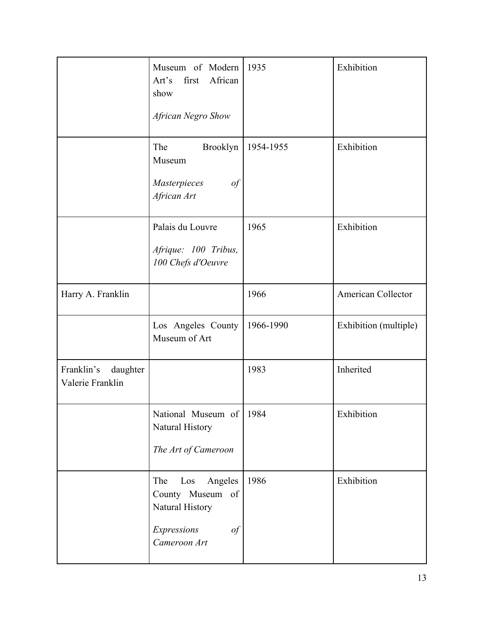|                                            | Museum of Modern<br>first<br>African<br>Art's<br>show<br>African Negro Show                       | 1935      | Exhibition            |
|--------------------------------------------|---------------------------------------------------------------------------------------------------|-----------|-----------------------|
|                                            | The<br>Brooklyn<br>Museum<br>Masterpieces<br>of<br>African Art                                    | 1954-1955 | Exhibition            |
|                                            | Palais du Louvre<br>Afrique: 100 Tribus,<br>100 Chefs d'Oeuvre                                    | 1965      | Exhibition            |
| Harry A. Franklin                          |                                                                                                   | 1966      | American Collector    |
|                                            | Los Angeles County<br>Museum of Art                                                               | 1966-1990 | Exhibition (multiple) |
| Franklin's<br>daughter<br>Valerie Franklin |                                                                                                   | 1983      | Inherited             |
|                                            | National Museum of 1984<br>Natural History<br>The Art of Cameroon                                 |           | Exhibition            |
|                                            | Los<br>Angeles<br>The<br>County Museum of<br>Natural History<br>Expressions<br>of<br>Cameroon Art | 1986      | Exhibition            |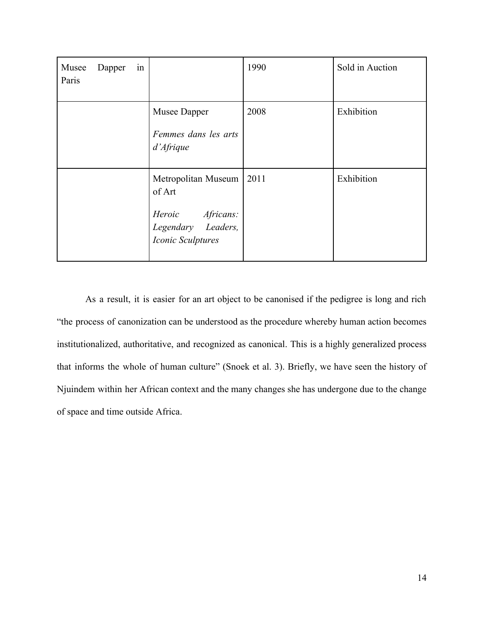| Musee<br>Paris | Dapper | 1n |                                                                                              | 1990 | Sold in Auction |
|----------------|--------|----|----------------------------------------------------------------------------------------------|------|-----------------|
|                |        |    | Musee Dapper<br>Femmes dans les arts<br>d'Afrique                                            | 2008 | Exhibition      |
|                |        |    | Metropolitan Museum<br>of Art<br>Heroic Africans:<br>Legendary Leaders,<br>Iconic Sculptures | 2011 | Exhibition      |

As a result, it is easier for an art object to be canonised if the pedigree is long and rich "the process of canonization can be understood as the procedure whereby human action becomes institutionalized, authoritative, and recognized as canonical. This is a highly generalized process that informs the whole of human culture" (Snoek et al. 3). Briefly, we have seen the history of Njuindem within her African context and the many changes she has undergone due to the change of space and time outside Africa.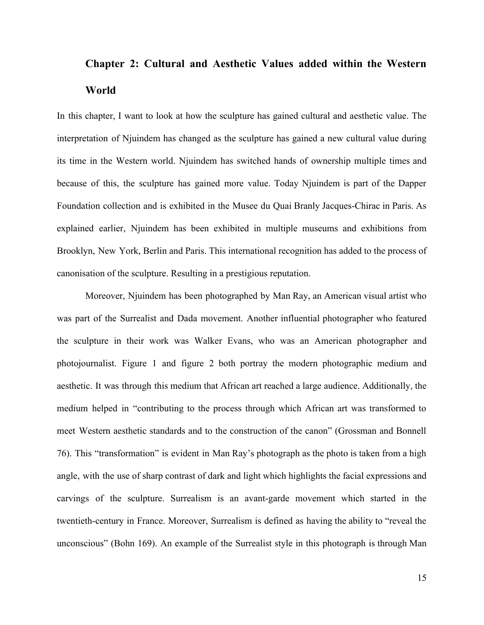## **Chapter 2: Cultural and Aesthetic Values added within the Western World**

In this chapter, I want to look at how the sculpture has gained cultural and aesthetic value. The interpretation of Njuindem has changed as the sculpture has gained a new cultural value during its time in the Western world. Njuindem has switched hands of ownership multiple times and because of this, the sculpture has gained more value. Today Njuindem is part of the Dapper Foundation collection and is exhibited in the Musee du Quai Branly Jacques-Chirac in Paris. As explained earlier, Njuindem has been exhibited in multiple museums and exhibitions from Brooklyn, New York, Berlin and Paris. This international recognition has added to the process of canonisation of the sculpture. Resulting in a prestigious reputation.

Moreover, Njuindem has been photographed by Man Ray, an American visual artist who was part of the Surrealist and Dada movement. Another influential photographer who featured the sculpture in their work was Walker Evans, who was an American photographer and photojournalist. Figure 1 and figure 2 both portray the modern photographic medium and aesthetic. It was through this medium that African art reached a large audience. Additionally, the medium helped in "contributing to the process through which African art was transformed to meet Western aesthetic standards and to the construction of the canon" (Grossman and Bonnell 76). This "transformation" is evident in Man Ray's photograph as the photo is taken from a high angle, with the use of sharp contrast of dark and light which highlights the facial expressions and carvings of the sculpture. Surrealism is an avant-garde movement which started in the twentieth-century in France. Moreover, Surrealism is defined as having the ability to "reveal the unconscious" (Bohn 169). An example of the Surrealist style in this photograph is through Man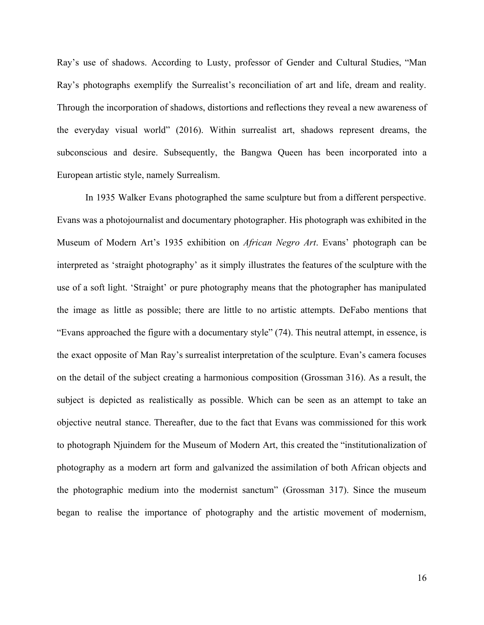Ray's use of shadows. According to Lusty, professor of Gender and Cultural Studies, "Man Ray's photographs exemplify the Surrealist's reconciliation of art and life, dream and reality. Through the incorporation of shadows, distortions and reflections they reveal a new awareness of the everyday visual world" (2016). Within surrealist art, shadows represent dreams, the subconscious and desire. Subsequently, the Bangwa Queen has been incorporated into a European artistic style, namely Surrealism.

In 1935 Walker Evans photographed the same sculpture but from a different perspective. Evans was a photojournalist and documentary photographer. His photograph was exhibited in the Museum of Modern Art's 1935 exhibition on *African Negro Art*. Evans' photograph can be interpreted as 'straight photography' as it simply illustrates the features of the sculpture with the use of a soft light. 'Straight' or pure photography means that the photographer has manipulated the image as little as possible; there are little to no artistic attempts. DeFabo mentions that "Evans approached the figure with a documentary style" (74). This neutral attempt, in essence, is the exact opposite of Man Ray's surrealist interpretation of the sculpture. Evan's camera focuses on the detail of the subject creating a harmonious composition (Grossman 316). As a result, the subject is depicted as realistically as possible. Which can be seen as an attempt to take an objective neutral stance. Thereafter, due to the fact that Evans was commissioned for this work to photograph Njuindem for the Museum of Modern Art, this created the "institutionalization of photography as a modern art form and galvanized the assimilation of both African objects and the photographic medium into the modernist sanctum" (Grossman 317). Since the museum began to realise the importance of photography and the artistic movement of modernism,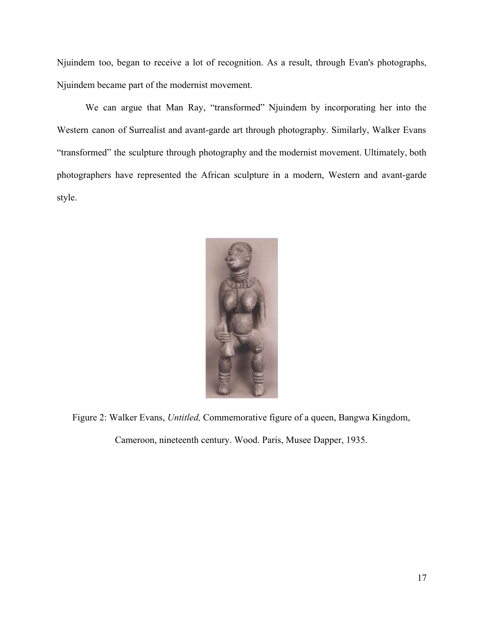Njuindem too, began to receive a lot of recognition. As a result, through Evan's photographs, Njuindem became part of the modernist movement.

We can argue that Man Ray, "transformed" Njuindem by incorporating her into the Western canon of Surrealist and avant-garde art through photography. Similarly, Walker Evans "transformed" the sculpture through photography and the modernist movement. Ultimately, both photographers have represented the African sculpture in a modern, Western and avant-garde style.



Figure 2: Walker Evans, *Untitled,* Commemorative figure of a queen, Bangwa Kingdom,

Cameroon, nineteenth century. Wood. Paris, Musee Dapper, 1935.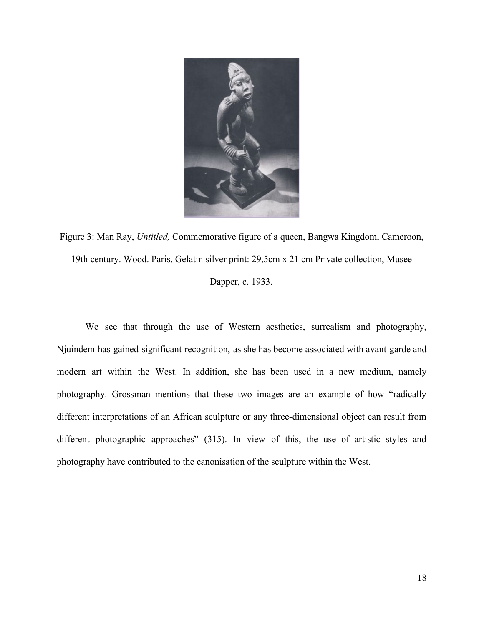

Figure 3: Man Ray, *Untitled,* Commemorative figure of a queen, Bangwa Kingdom, Cameroon, 19th century. Wood. Paris, Gelatin silver print: 29,5cm x 21 cm Private collection, Musee Dapper, c. 1933.

We see that through the use of Western aesthetics, surrealism and photography, Njuindem has gained significant recognition, as she has become associated with avant-garde and modern art within the West. In addition, she has been used in a new medium, namely photography. Grossman mentions that these two images are an example of how "radically different interpretations of an African sculpture or any three-dimensional object can result from different photographic approaches" (315). In view of this, the use of artistic styles and photography have contributed to the canonisation of the sculpture within the West.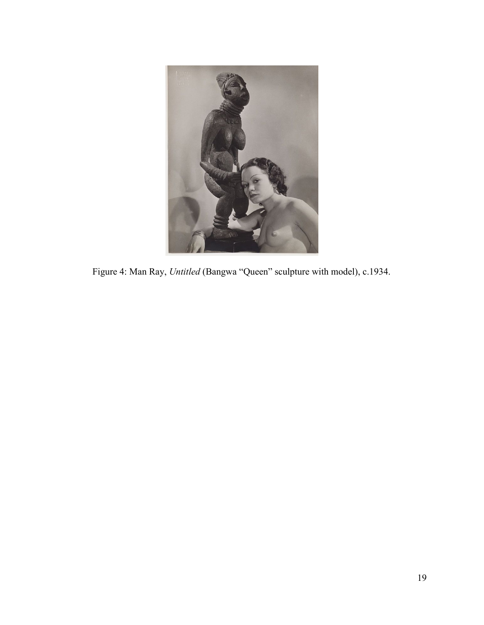

Figure 4: Man Ray, *Untitled* (Bangwa "Queen" sculpture with model), c.1934.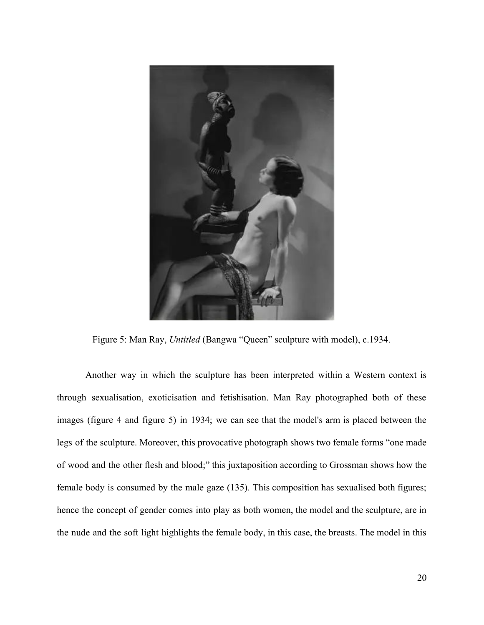

Figure 5: Man Ray, *Untitled* (Bangwa "Queen" sculpture with model), c.1934.

Another way in which the sculpture has been interpreted within a Western context is through sexualisation, exoticisation and fetishisation. Man Ray photographed both of these images (figure 4 and figure 5) in 1934; we can see that the model's arm is placed between the legs of the sculpture. Moreover, this provocative photograph shows two female forms "one made of wood and the other flesh and blood;" this juxtaposition according to Grossman shows how the female body is consumed by the male gaze (135). This composition has sexualised both figures; hence the concept of gender comes into play as both women, the model and the sculpture, are in the nude and the soft light highlights the female body, in this case, the breasts. The model in this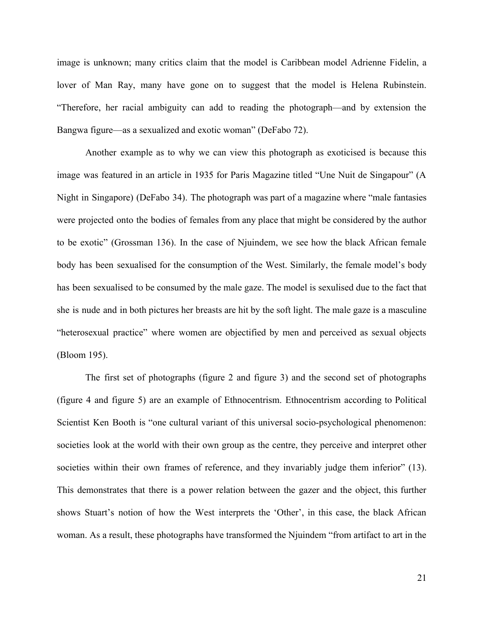image is unknown; many critics claim that the model is Caribbean model Adrienne Fidelin, a lover of Man Ray, many have gone on to suggest that the model is Helena Rubinstein. "Therefore, her racial ambiguity can add to reading the photograph—and by extension the Bangwa figure—as a sexualized and exotic woman" (DeFabo 72).

Another example as to why we can view this photograph as exoticised is because this image was featured in an article in 1935 for Paris Magazine titled "Une Nuit de Singapour" (A Night in Singapore) (DeFabo 34). The photograph was part of a magazine where "male fantasies were projected onto the bodies of females from any place that might be considered by the author to be exotic" (Grossman 136). In the case of Njuindem, we see how the black African female body has been sexualised for the consumption of the West. Similarly, the female model's body has been sexualised to be consumed by the male gaze. The model is sexulised due to the fact that she is nude and in both pictures her breasts are hit by the soft light. The male gaze is a masculine "heterosexual practice" where women are objectified by men and perceived as sexual objects (Bloom 195).

The first set of photographs (figure 2 and figure 3) and the second set of photographs (figure 4 and figure 5) are an example of Ethnocentrism. Ethnocentrism according to Political Scientist Ken Booth is "one cultural variant of this universal socio-psychological phenomenon: societies look at the world with their own group as the centre, they perceive and interpret other societies within their own frames of reference, and they invariably judge them inferior" (13). This demonstrates that there is a power relation between the gazer and the object, this further shows Stuart's notion of how the West interprets the 'Other', in this case, the black African woman. As a result, these photographs have transformed the Njuindem "from artifact to art in the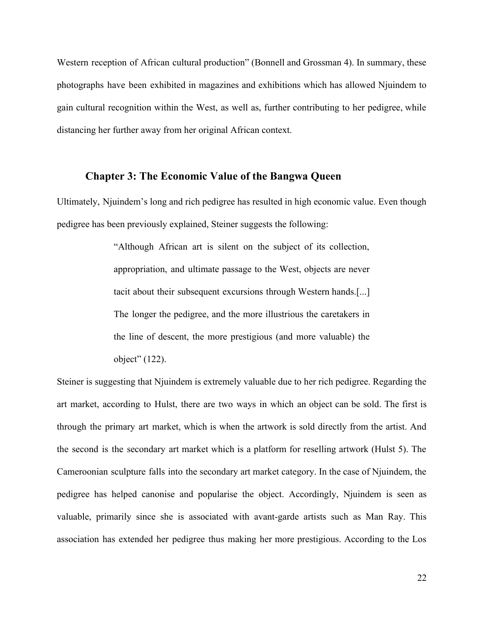Western reception of African cultural production" (Bonnell and Grossman 4). In summary, these photographs have been exhibited in magazines and exhibitions which has allowed Njuindem to gain cultural recognition within the West, as well as, further contributing to her pedigree, while distancing her further away from her original African context.

### **Chapter 3: The Economic Value of the Bangwa Queen**

Ultimately, Njuindem's long and rich pedigree has resulted in high economic value. Even though pedigree has been previously explained, Steiner suggests the following:

> "Although African art is silent on the subject of its collection, appropriation, and ultimate passage to the West, objects are never tacit about their subsequent excursions through Western hands.[...] The longer the pedigree, and the more illustrious the caretakers in the line of descent, the more prestigious (and more valuable) the object" (122).

Steiner is suggesting that Njuindem is extremely valuable due to her rich pedigree. Regarding the art market, according to Hulst, there are two ways in which an object can be sold. The first is through the primary art market, which is when the artwork is sold directly from the artist. And the second is the secondary art market which is a platform for reselling artwork (Hulst 5). The Cameroonian sculpture falls into the secondary art market category. In the case of Njuindem, the pedigree has helped canonise and popularise the object. Accordingly, Njuindem is seen as valuable, primarily since she is associated with avant-garde artists such as Man Ray. This association has extended her pedigree thus making her more prestigious. According to the Los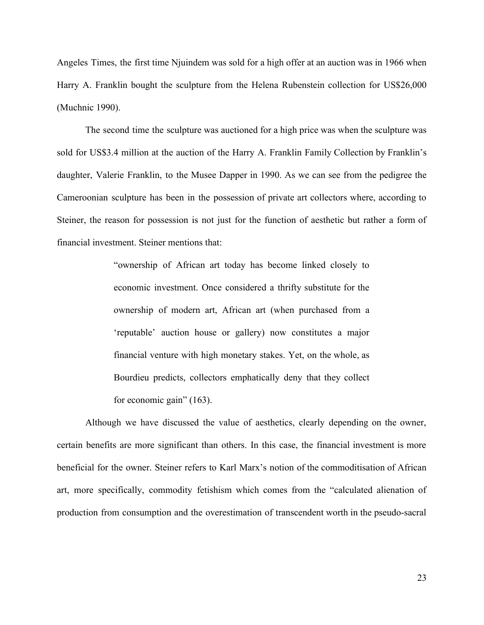Angeles Times, the first time Njuindem was sold for a high offer at an auction was in 1966 when Harry A. Franklin bought the sculpture from the Helena Rubenstein collection for US\$26,000 (Muchnic 1990).

The second time the sculpture was auctioned for a high price was when the sculpture was sold for US\$3.4 million at the auction of the Harry A. Franklin Family Collection by Franklin's daughter, Valerie Franklin, to the Musee Dapper in 1990. As we can see from the pedigree the Cameroonian sculpture has been in the possession of private art collectors where, according to Steiner, the reason for possession is not just for the function of aesthetic but rather a form of financial investment. Steiner mentions that:

> "ownership of African art today has become linked closely to economic investment. Once considered a thrifty substitute for the ownership of modern art, African art (when purchased from a 'reputable' auction house or gallery) now constitutes a major financial venture with high monetary stakes. Yet, on the whole, as Bourdieu predicts, collectors emphatically deny that they collect for economic gain" (163).

Although we have discussed the value of aesthetics, clearly depending on the owner, certain benefits are more significant than others. In this case, the financial investment is more beneficial for the owner. Steiner refers to Karl Marx's notion of the commoditisation of African art, more specifically, commodity fetishism which comes from the "calculated alienation of production from consumption and the overestimation of transcendent worth in the pseudo-sacral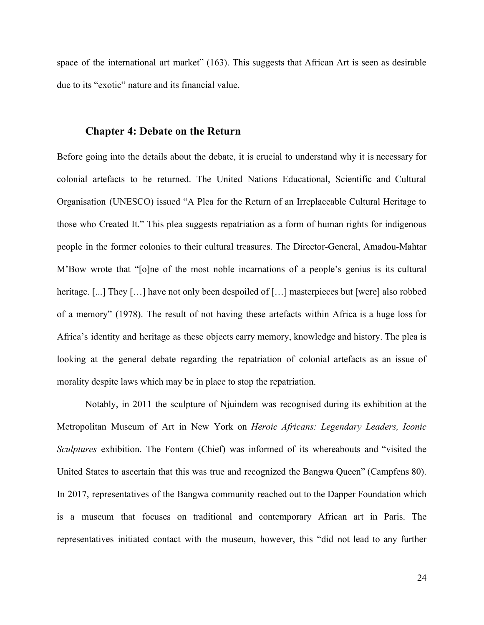space of the international art market" (163). This suggests that African Art is seen as desirable due to its "exotic" nature and its financial value.

### **Chapter 4: Debate on the Return**

Before going into the details about the debate, it is crucial to understand why it is necessary for colonial artefacts to be returned. The United Nations Educational, Scientific and Cultural Organisation (UNESCO) issued "A Plea for the Return of an Irreplaceable Cultural Heritage to those who Created It." This plea suggests repatriation as a form of human rights for indigenous people in the former colonies to their cultural treasures. The Director-General, Amadou-Mahtar M'Bow wrote that "[o]ne of the most noble incarnations of a people's genius is its cultural heritage. [...] They [...] have not only been despoiled of [...] masterpieces but [were] also robbed of a memory" (1978). The result of not having these artefacts within Africa is a huge loss for Africa's identity and heritage as these objects carry memory, knowledge and history. The plea is looking at the general debate regarding the repatriation of colonial artefacts as an issue of morality despite laws which may be in place to stop the repatriation.

Notably, in 2011 the sculpture of Njuindem was recognised during its exhibition at the Metropolitan Museum of Art in New York on *Heroic Africans: Legendary Leaders, Iconic Sculptures* exhibition. The Fontem (Chief) was informed of its whereabouts and "visited the United States to ascertain that this was true and recognized the Bangwa Queen" (Campfens 80). In 2017, representatives of the Bangwa community reached out to the Dapper Foundation which is a museum that focuses on traditional and contemporary African art in Paris. The representatives initiated contact with the museum, however, this "did not lead to any further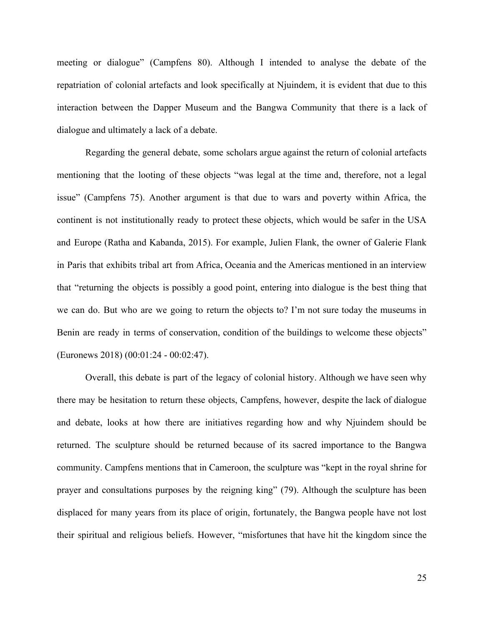meeting or dialogue" (Campfens 80). Although I intended to analyse the debate of the repatriation of colonial artefacts and look specifically at Njuindem, it is evident that due to this interaction between the Dapper Museum and the Bangwa Community that there is a lack of dialogue and ultimately a lack of a debate.

Regarding the general debate, some scholars argue against the return of colonial artefacts mentioning that the looting of these objects "was legal at the time and, therefore, not a legal issue" (Campfens 75). Another argument is that due to wars and poverty within Africa, the continent is not institutionally ready to protect these objects, which would be safer in the USA and Europe (Ratha and Kabanda, 2015). For example, Julien Flank, the owner of Galerie Flank in Paris that exhibits tribal art from Africa, Oceania and the Americas mentioned in an interview that "returning the objects is possibly a good point, entering into dialogue is the best thing that we can do. But who are we going to return the objects to? I'm not sure today the museums in Benin are ready in terms of conservation, condition of the buildings to welcome these objects" (Euronews 2018) (00:01:24 - 00:02:47).

Overall, this debate is part of the legacy of colonial history. Although we have seen why there may be hesitation to return these objects, Campfens, however, despite the lack of dialogue and debate, looks at how there are initiatives regarding how and why Njuindem should be returned. The sculpture should be returned because of its sacred importance to the Bangwa community. Campfens mentions that in Cameroon, the sculpture was "kept in the royal shrine for prayer and consultations purposes by the reigning king" (79). Although the sculpture has been displaced for many years from its place of origin, fortunately, the Bangwa people have not lost their spiritual and religious beliefs. However, "misfortunes that have hit the kingdom since the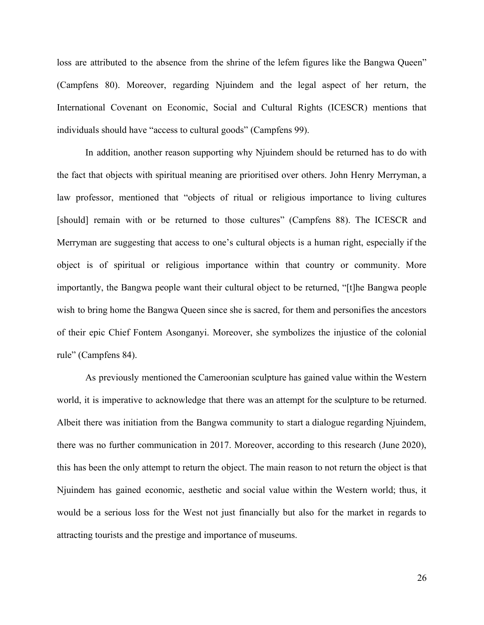loss are attributed to the absence from the shrine of the lefem figures like the Bangwa Queen" (Campfens 80). Moreover, regarding Njuindem and the legal aspect of her return, the International Covenant on Economic, Social and Cultural Rights (ICESCR) mentions that individuals should have "access to cultural goods" (Campfens 99).

In addition, another reason supporting why Njuindem should be returned has to do with the fact that objects with spiritual meaning are prioritised over others. John Henry Merryman, a law professor, mentioned that "objects of ritual or religious importance to living cultures [should] remain with or be returned to those cultures" (Campfens 88). The ICESCR and Merryman are suggesting that access to one's cultural objects is a human right, especially if the object is of spiritual or religious importance within that country or community. More importantly, the Bangwa people want their cultural object to be returned, "[t]he Bangwa people wish to bring home the Bangwa Queen since she is sacred, for them and personifies the ancestors of their epic Chief Fontem Asonganyi. Moreover, she symbolizes the injustice of the colonial rule" (Campfens 84).

As previously mentioned the Cameroonian sculpture has gained value within the Western world, it is imperative to acknowledge that there was an attempt for the sculpture to be returned. Albeit there was initiation from the Bangwa community to start a dialogue regarding Njuindem, there was no further communication in 2017. Moreover, according to this research (June 2020), this has been the only attempt to return the object. The main reason to not return the object is that Njuindem has gained economic, aesthetic and social value within the Western world; thus, it would be a serious loss for the West not just financially but also for the market in regards to attracting tourists and the prestige and importance of museums.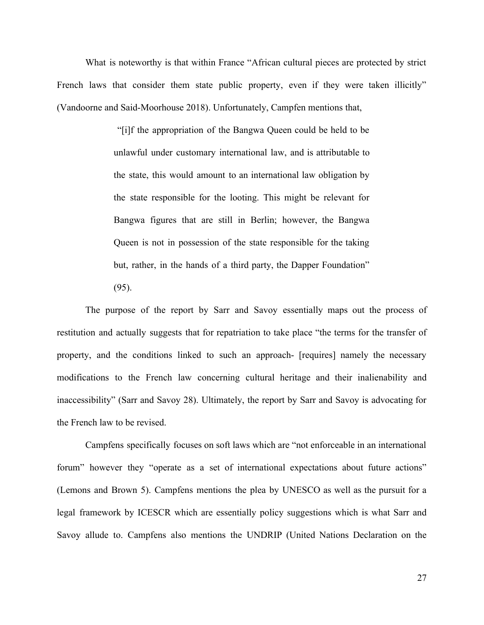What is noteworthy is that within France "African cultural pieces are protected by strict French laws that consider them state public property, even if they were taken illicitly" (Vandoorne and Said-Moorhouse 2018). Unfortunately, Campfen mentions that,

> "[i]f the appropriation of the Bangwa Queen could be held to be unlawful under customary international law, and is attributable to the state, this would amount to an international law obligation by the state responsible for the looting. This might be relevant for Bangwa figures that are still in Berlin; however, the Bangwa Queen is not in possession of the state responsible for the taking but, rather, in the hands of a third party, the Dapper Foundation"

(95).

The purpose of the report by Sarr and Savoy essentially maps out the process of restitution and actually suggests that for repatriation to take place "the terms for the transfer of property, and the conditions linked to such an approach- [requires] namely the necessary modifications to the French law concerning cultural heritage and their inalienability and inaccessibility" (Sarr and Savoy 28). Ultimately, the report by Sarr and Savoy is advocating for the French law to be revised.

Campfens specifically focuses on soft laws which are "not enforceable in an international forum" however they "operate as a set of international expectations about future actions" (Lemons and Brown 5). Campfens mentions the plea by UNESCO as well as the pursuit for a legal framework by ICESCR which are essentially policy suggestions which is what Sarr and Savoy allude to. Campfens also mentions the UNDRIP (United Nations Declaration on the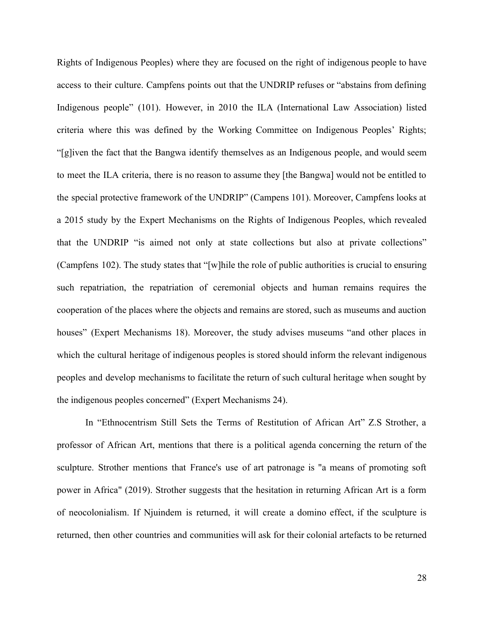Rights of Indigenous Peoples) where they are focused on the right of indigenous people to have access to their culture. Campfens points out that the UNDRIP refuses or "abstains from defining Indigenous people" (101). However, in 2010 the ILA (International Law Association) listed criteria where this was defined by the Working Committee on Indigenous Peoples' Rights; "[g]iven the fact that the Bangwa identify themselves as an Indigenous people, and would seem to meet the ILA criteria, there is no reason to assume they [the Bangwa] would not be entitled to the special protective framework of the UNDRIP" (Campens 101). Moreover, Campfens looks at a 2015 study by the Expert Mechanisms on the Rights of Indigenous Peoples, which revealed that the UNDRIP "is aimed not only at state collections but also at private collections" (Campfens 102). The study states that "[w]hile the role of public authorities is crucial to ensuring such repatriation, the repatriation of ceremonial objects and human remains requires the cooperation of the places where the objects and remains are stored, such as museums and auction houses" (Expert Mechanisms 18). Moreover, the study advises museums "and other places in which the cultural heritage of indigenous peoples is stored should inform the relevant indigenous peoples and develop mechanisms to facilitate the return of such cultural heritage when sought by the indigenous peoples concerned" (Expert Mechanisms 24).

In "Ethnocentrism Still Sets the Terms of Restitution of African Art" Z.S Strother, a professor of African Art, mentions that there is a political agenda concerning the return of the sculpture. Strother mentions that France's use of art patronage is "a means of promoting soft power in Africa" (2019). Strother suggests that the hesitation in returning African Art is a form of neocolonialism. If Njuindem is returned, it will create a domino effect, if the sculpture is returned, then other countries and communities will ask for their colonial artefacts to be returned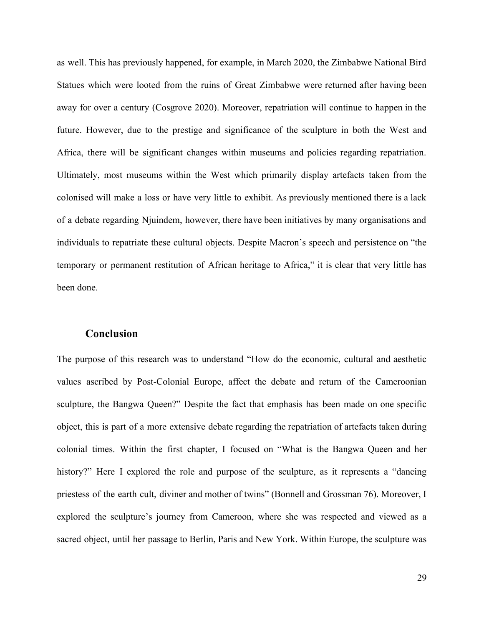as well. This has previously happened, for example, in March 2020, the Zimbabwe National Bird Statues which were looted from the ruins of Great Zimbabwe were returned after having been away for over a century (Cosgrove 2020). Moreover, repatriation will continue to happen in the future. However, due to the prestige and significance of the sculpture in both the West and Africa, there will be significant changes within museums and policies regarding repatriation. Ultimately, most museums within the West which primarily display artefacts taken from the colonised will make a loss or have very little to exhibit. As previously mentioned there is a lack of a debate regarding Njuindem, however, there have been initiatives by many organisations and individuals to repatriate these cultural objects. Despite Macron's speech and persistence on "the temporary or permanent restitution of African heritage to Africa," it is clear that very little has been done.

#### **Conclusion**

The purpose of this research was to understand "How do the economic, cultural and aesthetic values ascribed by Post-Colonial Europe, affect the debate and return of the Cameroonian sculpture, the Bangwa Queen?" Despite the fact that emphasis has been made on one specific object, this is part of a more extensive debate regarding the repatriation of artefacts taken during colonial times. Within the first chapter, I focused on "What is the Bangwa Queen and her history?" Here I explored the role and purpose of the sculpture, as it represents a "dancing priestess of the earth cult, diviner and mother of twins" (Bonnell and Grossman 76). Moreover, I explored the sculpture's journey from Cameroon, where she was respected and viewed as a sacred object, until her passage to Berlin, Paris and New York. Within Europe, the sculpture was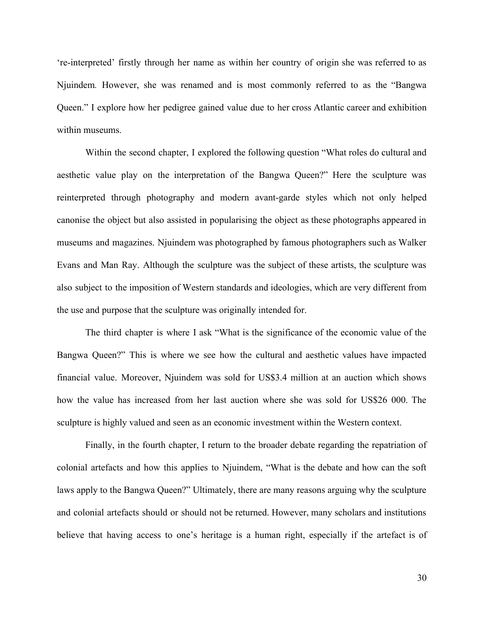're-interpreted' firstly through her name as within her country of origin she was referred to as Njuindem*.* However, she was renamed and is most commonly referred to as the "Bangwa Queen." I explore how her pedigree gained value due to her cross Atlantic career and exhibition within museums.

Within the second chapter, I explored the following question "What roles do cultural and aesthetic value play on the interpretation of the Bangwa Queen?" Here the sculpture was reinterpreted through photography and modern avant-garde styles which not only helped canonise the object but also assisted in popularising the object as these photographs appeared in museums and magazines. Njuindem was photographed by famous photographers such as Walker Evans and Man Ray. Although the sculpture was the subject of these artists, the sculpture was also subject to the imposition of Western standards and ideologies, which are very different from the use and purpose that the sculpture was originally intended for.

The third chapter is where I ask "What is the significance of the economic value of the Bangwa Queen?" This is where we see how the cultural and aesthetic values have impacted financial value. Moreover, Njuindem was sold for US\$3.4 million at an auction which shows how the value has increased from her last auction where she was sold for US\$26 000. The sculpture is highly valued and seen as an economic investment within the Western context.

Finally, in the fourth chapter, I return to the broader debate regarding the repatriation of colonial artefacts and how this applies to Njuindem, "What is the debate and how can the soft laws apply to the Bangwa Queen?" Ultimately, there are many reasons arguing why the sculpture and colonial artefacts should or should not be returned. However, many scholars and institutions believe that having access to one's heritage is a human right, especially if the artefact is of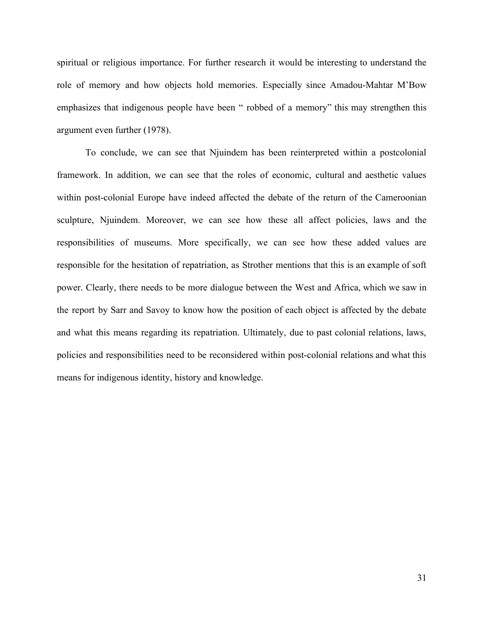spiritual or religious importance. For further research it would be interesting to understand the role of memory and how objects hold memories. Especially since Amadou-Mahtar M'Bow emphasizes that indigenous people have been " robbed of a memory" this may strengthen this argument even further (1978).

To conclude, we can see that Njuindem has been reinterpreted within a postcolonial framework. In addition, we can see that the roles of economic, cultural and aesthetic values within post-colonial Europe have indeed affected the debate of the return of the Cameroonian sculpture, Njuindem. Moreover, we can see how these all affect policies, laws and the responsibilities of museums. More specifically, we can see how these added values are responsible for the hesitation of repatriation, as Strother mentions that this is an example of soft power. Clearly, there needs to be more dialogue between the West and Africa, which we saw in the report by Sarr and Savoy to know how the position of each object is affected by the debate and what this means regarding its repatriation. Ultimately, due to past colonial relations, laws, policies and responsibilities need to be reconsidered within post-colonial relations and what this means for indigenous identity, history and knowledge.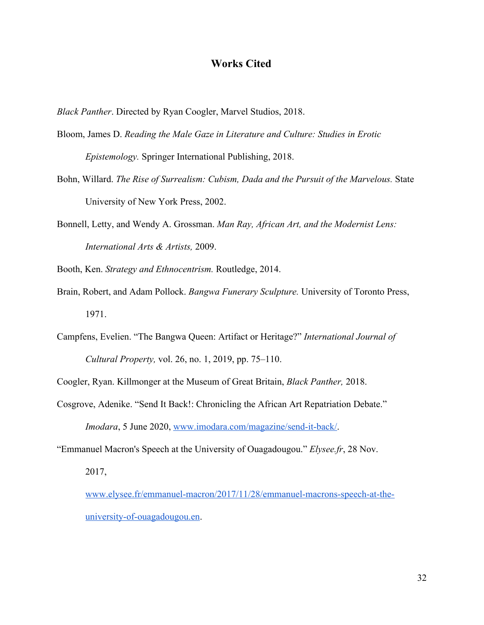### **Works Cited**

*Black Panther*. Directed by Ryan Coogler, Marvel Studios, 2018.

- Bloom, James D. *Reading the Male Gaze in Literature and Culture: Studies in Erotic Epistemology.* Springer International Publishing, 2018.
- Bohn, Willard. *The Rise of Surrealism: Cubism, Dada and the Pursuit of the Marvelous.* State University of New York Press, 2002.
- Bonnell, Letty, and Wendy A. Grossman. *Man Ray, African Art, and the Modernist Lens: International Arts & Artists,* 2009.
- Booth, Ken. *Strategy and Ethnocentrism.* Routledge, 2014.
- Brain, Robert, and Adam Pollock. *Bangwa Funerary Sculpture.* University of Toronto Press, 1971.
- Campfens, Evelien. "The Bangwa Queen: Artifact or Heritage?" *International Journal of Cultural Property,* vol. 26, no. 1, 2019, pp. 75–110.

Coogler, Ryan. Killmonger at the Museum of Great Britain, *Black Panther,* 2018.

- Cosgrove, Adenike. "Send It Back!: Chronicling the African Art Repatriation Debate." *Imodara*, 5 June 2020, [www.imodara.com/magazine/send-it-back/.](http://www.imodara.com/magazine/send-it-back/)
- "Emmanuel Macron's Speech at the University of Ouagadougou." *Elysee.fr*, 28 Nov.

2017,

[www.elysee.fr/emmanuel-macron/2017/11/28/emmanuel-macrons-speech-at-the](http://www.elysee.fr/emmanuel-macron/2017/11/28/emmanuel-macrons-speech-at-the-university-of-ouagadougou.en)[university-of-ouagadougou.en.](http://www.elysee.fr/emmanuel-macron/2017/11/28/emmanuel-macrons-speech-at-the-university-of-ouagadougou.en)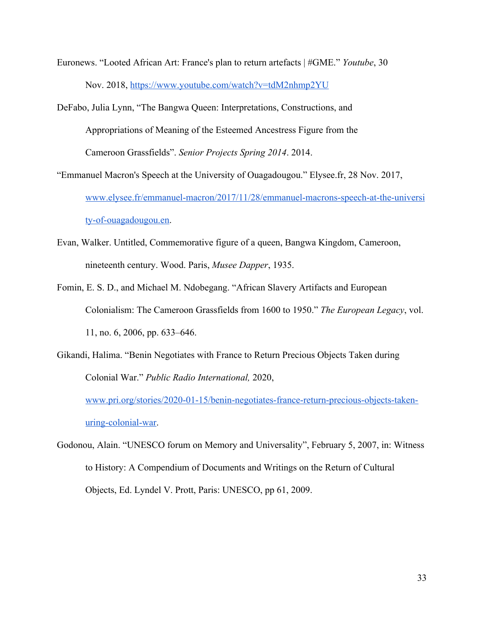Euronews. "Looted African Art: France's plan to return artefacts | #GME." *Youtube*, 30 Nov. 2018, <https://www.youtube.com/watch?v=tdM2nhmp2YU>

DeFabo, Julia Lynn, "The Bangwa Queen: Interpretations, Constructions, and Appropriations of Meaning of the Esteemed Ancestress Figure from the Cameroon Grassfields". *Senior Projects Spring 2014*. 2014.

"Emmanuel Macron's Speech at the University of Ouagadougou." Elysee.fr, 28 Nov. 2017, [www.elysee.fr/emmanuel-macron/2017/11/28/emmanuel-macrons-speech-at-the-universi](http://www.elysee.fr/emmanuel-macron/2017/11/28/emmanuel-macrons-speech-at-the-university-of-ouagadougou.en) [ty-of-ouagadougou.en](http://www.elysee.fr/emmanuel-macron/2017/11/28/emmanuel-macrons-speech-at-the-university-of-ouagadougou.en).

- Evan, Walker. Untitled, Commemorative figure of a queen, Bangwa Kingdom, Cameroon, nineteenth century. Wood. Paris, *Musee Dapper*, 1935.
- Fomin, E. S. D., and Michael M. Ndobegang. "African Slavery Artifacts and European Colonialism: The Cameroon Grassfields from 1600 to 1950." *The European Legacy*, vol. 11, no. 6, 2006, pp. 633–646.
- Gikandi, Halima. "Benin Negotiates with France to Return Precious Objects Taken during Colonial War." *Public Radio International,* 2020,

[www.pri.org/stories/2020-01-15/benin-negotiates-france-return-precious-objects-taken](http://www.pri.org/stories/2020-01-15/benin-negotiates-france-return-precious-objects-taken-during-colonial-war)[uring-colonial-war.](http://www.pri.org/stories/2020-01-15/benin-negotiates-france-return-precious-objects-taken-during-colonial-war)

Godonou, Alain. "UNESCO forum on Memory and Universality", February 5, 2007, in: Witness to History: A Compendium of Documents and Writings on the Return of Cultural Objects, Ed. Lyndel V. Prott, Paris: UNESCO, pp 61, 2009.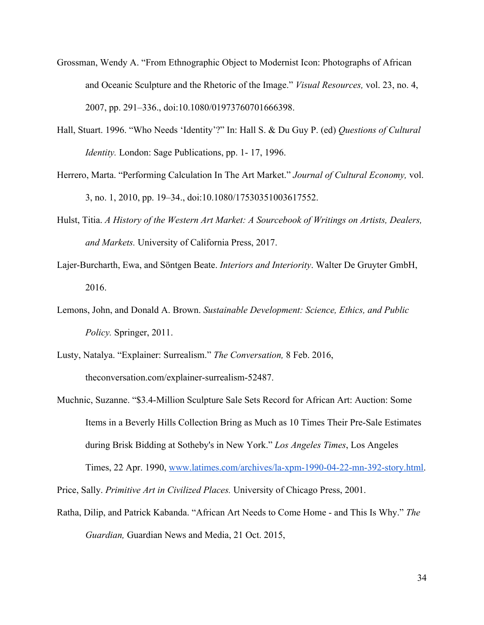- Grossman, Wendy A. "From Ethnographic Object to Modernist Icon: Photographs of African and Oceanic Sculpture and the Rhetoric of the Image." *Visual Resources,* vol. 23, no. 4, 2007, pp. 291–336., doi:10.1080/01973760701666398.
- Hall, Stuart. 1996. "Who Needs 'Identity'?" In: Hall S. & Du Guy P. (ed) *Questions of Cultural Identity.* London: Sage Publications, pp. 1- 17, 1996.
- Herrero, Marta. "Performing Calculation In The Art Market." *Journal of Cultural Economy,* vol. 3, no. 1, 2010, pp. 19–34., doi:10.1080/17530351003617552.
- Hulst, Titia. *A History of the Western Art Market: A Sourcebook of Writings on Artists, Dealers, and Markets.* University of California Press, 2017.
- Lajer-Burcharth, Ewa, and Söntgen Beate. *Interiors and Interiority*. Walter De Gruyter GmbH, 2016.
- Lemons, John, and Donald A. Brown. *Sustainable Development: Science, Ethics, and Public Policy.* Springer, 2011.
- Lusty, Natalya. "Explainer: Surrealism." *The Conversation,* 8 Feb. 2016, theconversation.com/explainer-surrealism-52487.
- Muchnic, Suzanne. "\$3.4-Million Sculpture Sale Sets Record for African Art: Auction: Some Items in a Beverly Hills Collection Bring as Much as 10 Times Their Pre-Sale Estimates during Brisk Bidding at Sotheby's in New York." *Los Angeles Times*, Los Angeles Times, 22 Apr. 1990, [www.latimes.com/archives/la-xpm-1990-04-22-mn-392-story.html.](http://www.latimes.com/archives/la-xpm-1990-04-22-mn-392-story.html)

Price, Sally. *Primitive Art in Civilized Places.* University of Chicago Press, 2001.

Ratha, Dilip, and Patrick Kabanda. "African Art Needs to Come Home - and This Is Why." *The Guardian,* Guardian News and Media, 21 Oct. 2015,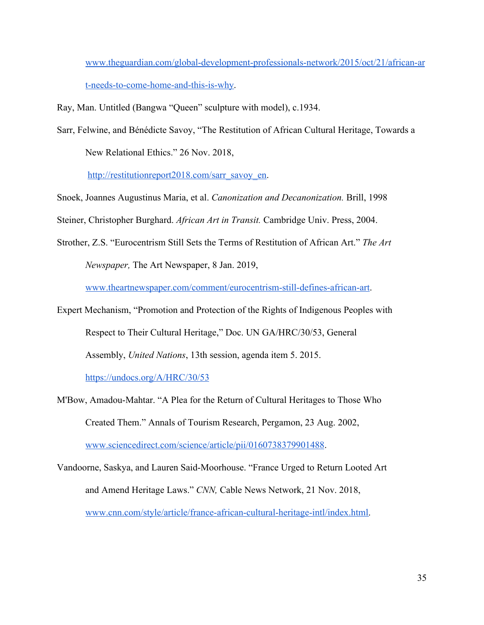[www.theguardian.com/global-development-professionals-network/2015/oct/21/african-ar](http://www.theguardian.com/global-development-professionals-network/2015/oct/21/african-art-needs-to-come-home-and-this-is-why) [t-needs-to-come-home-and-this-is-why.](http://www.theguardian.com/global-development-professionals-network/2015/oct/21/african-art-needs-to-come-home-and-this-is-why)

- Ray, Man. Untitled (Bangwa "Queen" sculpture with model), c.1934.
- Sarr, Felwine, and Bénédicte Savoy, "The Restitution of African Cultural Heritage, Towards a

New Relational Ethics." 26 Nov. 2018,

[http://restitutionreport2018.com/sarr\\_savoy\\_en.](http://restitutionreport2018.com/sarr_savoy_en)

Snoek, Joannes Augustinus Maria, et al. *Canonization and Decanonization.* Brill, 1998

Steiner, Christopher Burghard. *African Art in Transit.* Cambridge Univ. Press, 2004.

Strother, Z.S. "Eurocentrism Still Sets the Terms of Restitution of African Art." *The Art Newspaper,* The Art Newspaper, 8 Jan. 2019,

[www.theartnewspaper.com/comment/eurocentrism-still-defines-african-art.](http://www.theartnewspaper.com/comment/eurocentrism-still-defines-african-art)

Expert Mechanism, "Promotion and Protection of the Rights of Indigenous Peoples with Respect to Their Cultural Heritage," Doc. UN GA/HRC/30/53, General Assembly, *United Nations*, 13th session, agenda item 5. 2015.

<https://undocs.org/A/HRC/30/53>

- M'Bow, Amadou-Mahtar. "A Plea for the Return of Cultural Heritages to Those Who Created Them." Annals of Tourism Research, Pergamon, 23 Aug. 2002, [www.sciencedirect.com/science/article/pii/0160738379901488](http://www.sciencedirect.com/science/article/pii/0160738379901488).
- Vandoorne, Saskya, and Lauren Said-Moorhouse. "France Urged to Return Looted Art and Amend Heritage Laws." *CNN,* Cable News Network, 21 Nov. 2018, [www.cnn.com/style/article/france-african-cultural-heritage-intl/index.html](http://www.cnn.com/style/article/france-african-cultural-heritage-intl/index.html).